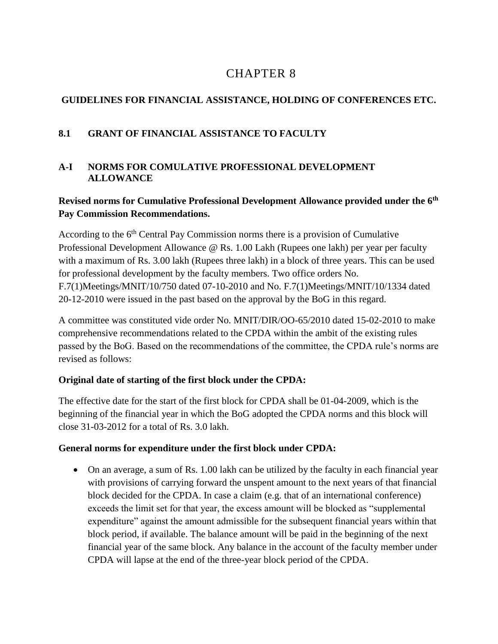# 8 CHAPTER 8

# **GUIDELINES FOR FINANCIAL ASSISTANCE, HOLDING OF CONFERENCES ETC.**

# **8.1 GRANT OF FINANCIAL ASSISTANCE TO FACULTY**

## **A-I NORMS FOR COMULATIVE PROFESSIONAL DEVELOPMENT ALLOWANCE**

# **Revised norms for Cumulative Professional Development Allowance provided under the 6th Pay Commission Recommendations.**

According to the  $6<sup>th</sup>$  Central Pay Commission norms there is a provision of Cumulative Professional Development Allowance @ Rs. 1.00 Lakh (Rupees one lakh) per year per faculty with a maximum of Rs. 3.00 lakh (Rupees three lakh) in a block of three years. This can be used for professional development by the faculty members. Two office orders No. F.7(1)Meetings/MNIT/10/750 dated 07-10-2010 and No. F.7(1)Meetings/MNIT/10/1334 dated 20-12-2010 were issued in the past based on the approval by the BoG in this regard.

A committee was constituted vide order No. MNIT/DIR/OO-65/2010 dated 15-02-2010 to make comprehensive recommendations related to the CPDA within the ambit of the existing rules passed by the BoG. Based on the recommendations of the committee, the CPDA rule's norms are revised as follows:

# **Original date of starting of the first block under the CPDA:**

The effective date for the start of the first block for CPDA shall be 01-04-2009, which is the beginning of the financial year in which the BoG adopted the CPDA norms and this block will close 31-03-2012 for a total of Rs. 3.0 lakh.

## **General norms for expenditure under the first block under CPDA:**

 On an average, a sum of Rs. 1.00 lakh can be utilized by the faculty in each financial year with provisions of carrying forward the unspent amount to the next years of that financial block decided for the CPDA. In case a claim (e.g. that of an international conference) exceeds the limit set for that year, the excess amount will be blocked as "supplemental expenditure" against the amount admissible for the subsequent financial years within that block period, if available. The balance amount will be paid in the beginning of the next financial year of the same block. Any balance in the account of the faculty member under CPDA will lapse at the end of the three-year block period of the CPDA.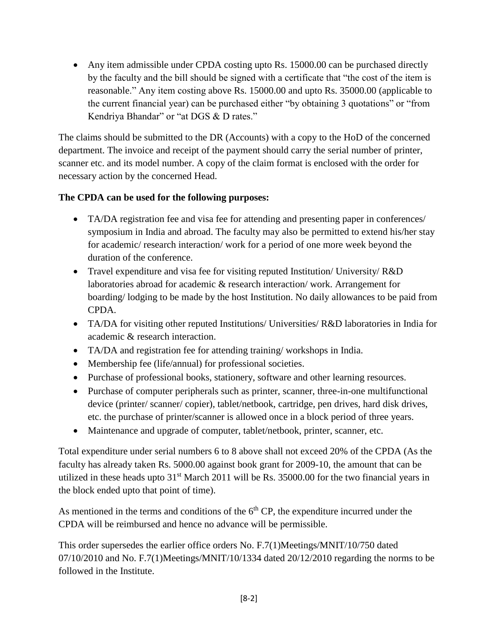• Any item admissible under CPDA costing upto Rs. 15000.00 can be purchased directly by the faculty and the bill should be signed with a certificate that "the cost of the item is reasonable." Any item costing above Rs. 15000.00 and upto Rs. 35000.00 (applicable to the current financial year) can be purchased either "by obtaining 3 quotations" or "from Kendriya Bhandar" or "at DGS & D rates."

The claims should be submitted to the DR (Accounts) with a copy to the HoD of the concerned department. The invoice and receipt of the payment should carry the serial number of printer, scanner etc. and its model number. A copy of the claim format is enclosed with the order for necessary action by the concerned Head.

## **The CPDA can be used for the following purposes:**

- TA/DA registration fee and visa fee for attending and presenting paper in conferences/ symposium in India and abroad. The faculty may also be permitted to extend his/her stay for academic/ research interaction/ work for a period of one more week beyond the duration of the conference.
- Travel expenditure and visa fee for visiting reputed Institution/ University/ R&D laboratories abroad for academic & research interaction/ work. Arrangement for boarding/ lodging to be made by the host Institution. No daily allowances to be paid from CPDA.
- TA/DA for visiting other reputed Institutions/ Universities/ R&D laboratories in India for academic & research interaction.
- TA/DA and registration fee for attending training/ workshops in India.
- Membership fee (life/annual) for professional societies.
- Purchase of professional books, stationery, software and other learning resources.
- Purchase of computer peripherals such as printer, scanner, three-in-one multifunctional device (printer/ scanner/ copier), tablet/netbook, cartridge, pen drives, hard disk drives, etc. the purchase of printer/scanner is allowed once in a block period of three years.
- Maintenance and upgrade of computer, tablet/netbook, printer, scanner, etc.

Total expenditure under serial numbers 6 to 8 above shall not exceed 20% of the CPDA (As the faculty has already taken Rs. 5000.00 against book grant for 2009-10, the amount that can be utilized in these heads upto 31<sup>st</sup> March 2011 will be Rs. 35000.00 for the two financial years in the block ended upto that point of time).

As mentioned in the terms and conditions of the  $6<sup>th</sup>$  CP, the expenditure incurred under the CPDA will be reimbursed and hence no advance will be permissible.

This order supersedes the earlier office orders No. F.7(1)Meetings/MNIT/10/750 dated 07/10/2010 and No. F.7(1)Meetings/MNIT/10/1334 dated 20/12/2010 regarding the norms to be followed in the Institute.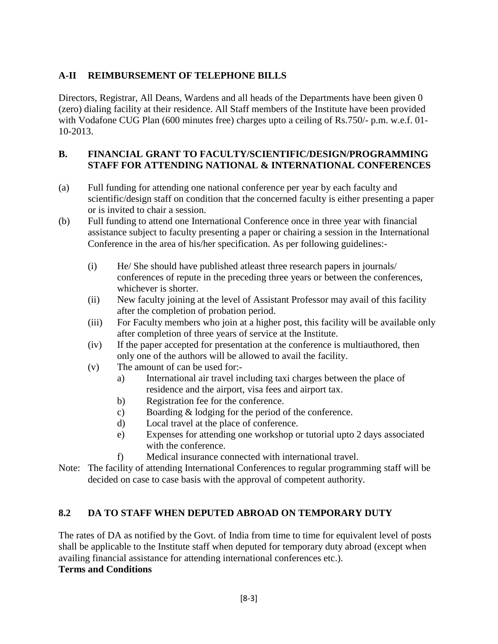## **A-II REIMBURSEMENT OF TELEPHONE BILLS**

Directors, Registrar, All Deans, Wardens and all heads of the Departments have been given 0 (zero) dialing facility at their residence. All Staff members of the Institute have been provided with Vodafone CUG Plan (600 minutes free) charges upto a ceiling of Rs.750/- p.m. w.e.f. 01-10-2013.

### **B. FINANCIAL GRANT TO FACULTY/SCIENTIFIC/DESIGN/PROGRAMMING STAFF FOR ATTENDING NATIONAL & INTERNATIONAL CONFERENCES**

- (a) Full funding for attending one national conference per year by each faculty and scientific/design staff on condition that the concerned faculty is either presenting a paper or is invited to chair a session.
- (b) Full funding to attend one International Conference once in three year with financial assistance subject to faculty presenting a paper or chairing a session in the International Conference in the area of his/her specification. As per following guidelines:-
	- (i) He/ She should have published atleast three research papers in journals/ conferences of repute in the preceding three years or between the conferences, whichever is shorter.
	- (ii) New faculty joining at the level of Assistant Professor may avail of this facility after the completion of probation period.
	- (iii) For Faculty members who join at a higher post, this facility will be available only after completion of three years of service at the Institute.
	- (iv) If the paper accepted for presentation at the conference is multiauthored, then only one of the authors will be allowed to avail the facility.
	- (v) The amount of can be used for:
		- a) International air travel including taxi charges between the place of residence and the airport, visa fees and airport tax.
		- b) Registration fee for the conference.
		- c) Boarding & lodging for the period of the conference.
		- d) Local travel at the place of conference.
		- e) Expenses for attending one workshop or tutorial upto 2 days associated with the conference.
		- f) Medical insurance connected with international travel.
- Note: The facility of attending International Conferences to regular programming staff will be decided on case to case basis with the approval of competent authority.

## **8.2 DA TO STAFF WHEN DEPUTED ABROAD ON TEMPORARY DUTY**

The rates of DA as notified by the Govt. of India from time to time for equivalent level of posts shall be applicable to the Institute staff when deputed for temporary duty abroad (except when availing financial assistance for attending international conferences etc.).

## **Terms and Conditions**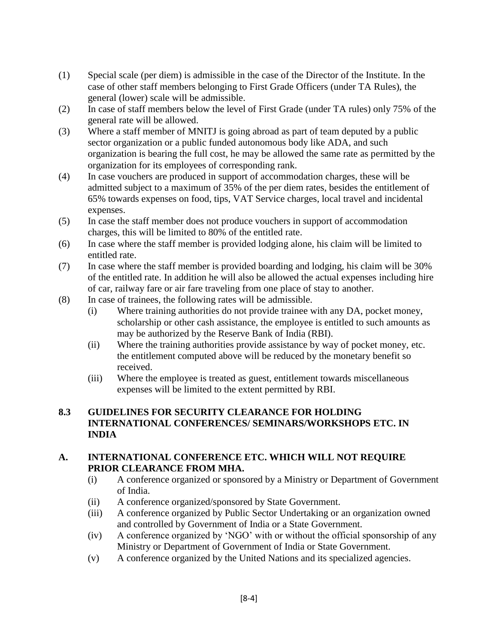- (1) Special scale (per diem) is admissible in the case of the Director of the Institute. In the case of other staff members belonging to First Grade Officers (under TA Rules), the general (lower) scale will be admissible.
- (2) In case of staff members below the level of First Grade (under TA rules) only 75% of the general rate will be allowed.
- (3) Where a staff member of MNITJ is going abroad as part of team deputed by a public sector organization or a public funded autonomous body like ADA, and such organization is bearing the full cost, he may be allowed the same rate as permitted by the organization for its employees of corresponding rank.
- (4) In case vouchers are produced in support of accommodation charges, these will be admitted subject to a maximum of 35% of the per diem rates, besides the entitlement of 65% towards expenses on food, tips, VAT Service charges, local travel and incidental expenses.
- (5) In case the staff member does not produce vouchers in support of accommodation charges, this will be limited to 80% of the entitled rate.
- (6) In case where the staff member is provided lodging alone, his claim will be limited to entitled rate.
- (7) In case where the staff member is provided boarding and lodging, his claim will be 30% of the entitled rate. In addition he will also be allowed the actual expenses including hire of car, railway fare or air fare traveling from one place of stay to another.
- (8) In case of trainees, the following rates will be admissible.
	- (i) Where training authorities do not provide trainee with any DA, pocket money, scholarship or other cash assistance, the employee is entitled to such amounts as may be authorized by the Reserve Bank of India (RBI).
	- (ii) Where the training authorities provide assistance by way of pocket money, etc. the entitlement computed above will be reduced by the monetary benefit so received.
	- (iii) Where the employee is treated as guest, entitlement towards miscellaneous expenses will be limited to the extent permitted by RBI.

### **8.3 GUIDELINES FOR SECURITY CLEARANCE FOR HOLDING INTERNATIONAL CONFERENCES/ SEMINARS/WORKSHOPS ETC. IN INDIA**

### **A. INTERNATIONAL CONFERENCE ETC. WHICH WILL NOT REQUIRE PRIOR CLEARANCE FROM MHA.**

- (i) A conference organized or sponsored by a Ministry or Department of Government of India.
- (ii) A conference organized/sponsored by State Government.
- (iii) A conference organized by Public Sector Undertaking or an organization owned and controlled by Government of India or a State Government.
- (iv) A conference organized by 'NGO' with or without the official sponsorship of any Ministry or Department of Government of India or State Government.
- (v) A conference organized by the United Nations and its specialized agencies.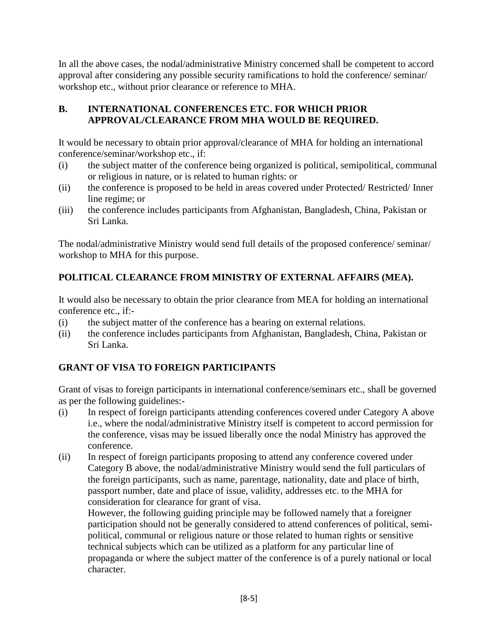In all the above cases, the nodal/administrative Ministry concerned shall be competent to accord approval after considering any possible security ramifications to hold the conference/ seminar/ workshop etc., without prior clearance or reference to MHA.

# **B. INTERNATIONAL CONFERENCES ETC. FOR WHICH PRIOR APPROVAL/CLEARANCE FROM MHA WOULD BE REQUIRED.**

It would be necessary to obtain prior approval/clearance of MHA for holding an international conference/seminar/workshop etc., if:

- (i) the subject matter of the conference being organized is political, semipolitical, communal or religious in nature, or is related to human rights: or
- (ii) the conference is proposed to be held in areas covered under Protected/ Restricted/ Inner line regime; or
- (iii) the conference includes participants from Afghanistan, Bangladesh, China, Pakistan or Sri Lanka.

The nodal/administrative Ministry would send full details of the proposed conference/ seminar/ workshop to MHA for this purpose.

# **POLITICAL CLEARANCE FROM MINISTRY OF EXTERNAL AFFAIRS (MEA).**

It would also be necessary to obtain the prior clearance from MEA for holding an international conference etc., if:-

- (i) the subject matter of the conference has a bearing on external relations.
- (ii) the conference includes participants from Afghanistan, Bangladesh, China, Pakistan or Sri Lanka.

# **GRANT OF VISA TO FOREIGN PARTICIPANTS**

Grant of visas to foreign participants in international conference/seminars etc., shall be governed as per the following guidelines:-

- (i) In respect of foreign participants attending conferences covered under Category A above i.e., where the nodal/administrative Ministry itself is competent to accord permission for the conference, visas may be issued liberally once the nodal Ministry has approved the conference.
- (ii) In respect of foreign participants proposing to attend any conference covered under Category B above, the nodal/administrative Ministry would send the full particulars of the foreign participants, such as name, parentage, nationality, date and place of birth, passport number, date and place of issue, validity, addresses etc. to the MHA for consideration for clearance for grant of visa.

However, the following guiding principle may be followed namely that a foreigner participation should not be generally considered to attend conferences of political, semipolitical, communal or religious nature or those related to human rights or sensitive technical subjects which can be utilized as a platform for any particular line of propaganda or where the subject matter of the conference is of a purely national or local character.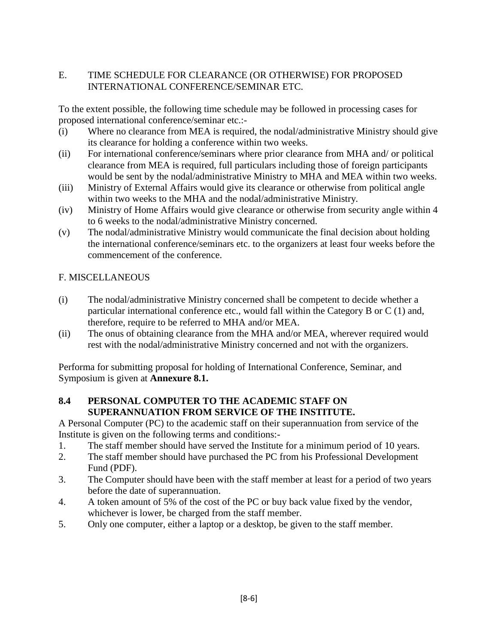## E. TIME SCHEDULE FOR CLEARANCE (OR OTHERWISE) FOR PROPOSED INTERNATIONAL CONFERENCE/SEMINAR ETC.

To the extent possible, the following time schedule may be followed in processing cases for proposed international conference/seminar etc.:-

- (i) Where no clearance from MEA is required, the nodal/administrative Ministry should give its clearance for holding a conference within two weeks.
- (ii) For international conference/seminars where prior clearance from MHA and/ or political clearance from MEA is required, full particulars including those of foreign participants would be sent by the nodal/administrative Ministry to MHA and MEA within two weeks.
- (iii) Ministry of External Affairs would give its clearance or otherwise from political angle within two weeks to the MHA and the nodal/administrative Ministry.
- (iv) Ministry of Home Affairs would give clearance or otherwise from security angle within 4 to 6 weeks to the nodal/administrative Ministry concerned.
- (v) The nodal/administrative Ministry would communicate the final decision about holding the international conference/seminars etc. to the organizers at least four weeks before the commencement of the conference.

## F. MISCELLANEOUS

- (i) The nodal/administrative Ministry concerned shall be competent to decide whether a particular international conference etc., would fall within the Category B or C (1) and, therefore, require to be referred to MHA and/or MEA.
- (ii) The onus of obtaining clearance from the MHA and/or MEA, wherever required would rest with the nodal/administrative Ministry concerned and not with the organizers.

Performa for submitting proposal for holding of International Conference, Seminar, and Symposium is given at **Annexure 8.1.**

## **8.4 PERSONAL COMPUTER TO THE ACADEMIC STAFF ON SUPERANNUATION FROM SERVICE OF THE INSTITUTE.**

A Personal Computer (PC) to the academic staff on their superannuation from service of the Institute is given on the following terms and conditions:-

- 1. The staff member should have served the Institute for a minimum period of 10 years.
- 2. The staff member should have purchased the PC from his Professional Development Fund (PDF).
- 3. The Computer should have been with the staff member at least for a period of two years before the date of superannuation.
- 4. A token amount of 5% of the cost of the PC or buy back value fixed by the vendor, whichever is lower, be charged from the staff member.
- 5. Only one computer, either a laptop or a desktop, be given to the staff member.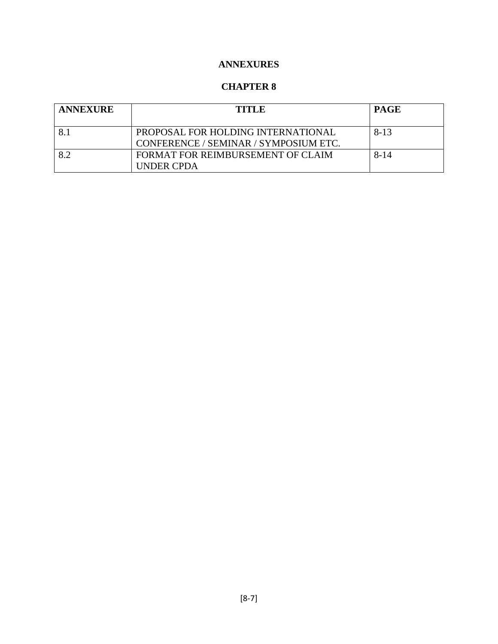# **ANNEXURES**

## **CHAPTER 8**

| <b>ANNEXURE</b> | <b>TITLE</b>                                                                | <b>PAGE</b> |
|-----------------|-----------------------------------------------------------------------------|-------------|
|                 | PROPOSAL FOR HOLDING INTERNATIONAL<br>CONFERENCE / SEMINAR / SYMPOSIUM ETC. | $8 - 13$    |
| $\mathcal{R}$ 2 | FORMAT FOR REIMBURSEMENT OF CLAIM<br><b>UNDER CPDA</b>                      | $8 - 14$    |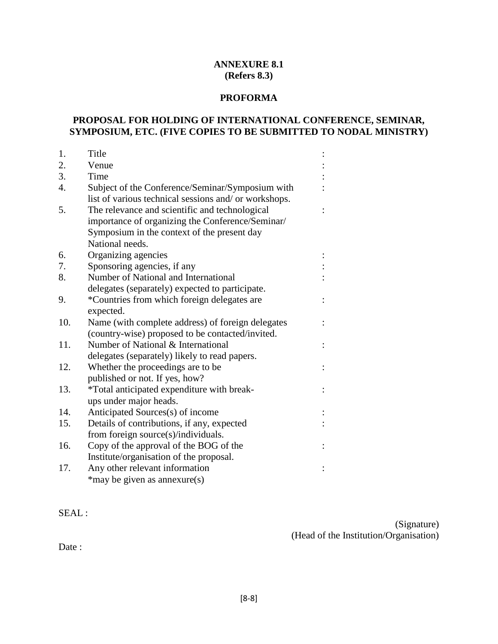#### **ANNEXURE 8.1 (Refers 8.3)**

#### **PROFORMA**

### **PROPOSAL FOR HOLDING OF INTERNATIONAL CONFERENCE, SEMINAR, SYMPOSIUM, ETC. (FIVE COPIES TO BE SUBMITTED TO NODAL MINISTRY)**

| 1.               | Title                                                 |  |  |
|------------------|-------------------------------------------------------|--|--|
| 2.               | Venue                                                 |  |  |
| 3.               | Time                                                  |  |  |
| $\overline{4}$ . | Subject of the Conference/Seminar/Symposium with      |  |  |
|                  | list of various technical sessions and/ or workshops. |  |  |
| 5.               | The relevance and scientific and technological        |  |  |
|                  | importance of organizing the Conference/Seminar/      |  |  |
|                  | Symposium in the context of the present day           |  |  |
|                  | National needs.                                       |  |  |
| 6.               | Organizing agencies                                   |  |  |
| 7.               | Sponsoring agencies, if any                           |  |  |
| 8.               | Number of National and International                  |  |  |
|                  | delegates (separately) expected to participate.       |  |  |
| 9.               | *Countries from which foreign delegates are           |  |  |
|                  | expected.                                             |  |  |
| 10.              | Name (with complete address) of foreign delegates     |  |  |
|                  | (country-wise) proposed to be contacted/invited.      |  |  |
| 11.              | Number of National & International                    |  |  |
|                  | delegates (separately) likely to read papers.         |  |  |
| 12.              | Whether the proceedings are to be                     |  |  |
|                  | published or not. If yes, how?                        |  |  |
| 13.              | *Total anticipated expenditure with break-            |  |  |
|                  | ups under major heads.                                |  |  |
| 14.              | Anticipated Sources(s) of income                      |  |  |
| 15.              | Details of contributions, if any, expected            |  |  |
|                  | from foreign source(s)/individuals.                   |  |  |
| 16.              | Copy of the approval of the BOG of the                |  |  |
|                  | Institute/organisation of the proposal.               |  |  |
| 17.              | Any other relevant information                        |  |  |
|                  | *may be given as annexure(s)                          |  |  |

### SEAL :

(Signature) (Head of the Institution/Organisation)

Date: